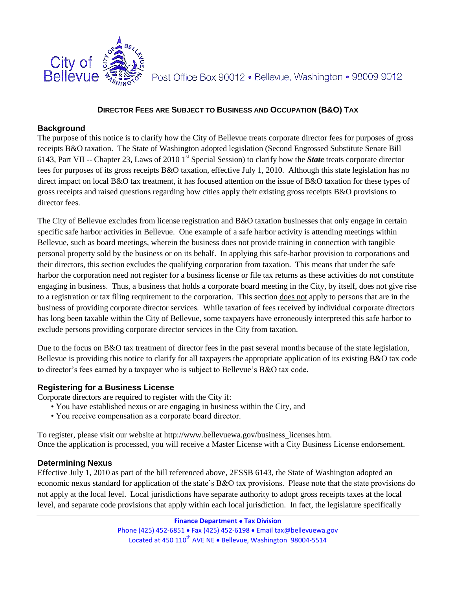

Post Office Box 90012 · Bellevue, Washington · 98009 9012

### **DIRECTOR FEES ARE SUBJECT TO BUSINESS AND OCCUPATION (B&O) TAX**

### **Background**

The purpose of this notice is to clarify how the City of Bellevue treats corporate director fees for purposes of gross receipts B&O taxation. The State of Washington adopted legislation (Second Engrossed Substitute Senate Bill 6143, Part VII -- Chapter 23, Laws of 2010 1st Special Session) to clarify how the *State* treats corporate director fees for purposes of its gross receipts B&O taxation, effective July 1, 2010. Although this state legislation has no direct impact on local B&O tax treatment, it has focused attention on the issue of B&O taxation for these types of gross receipts and raised questions regarding how cities apply their existing gross receipts B&O provisions to director fees.

The City of Bellevue excludes from license registration and B&O taxation businesses that only engage in certain specific safe harbor activities in Bellevue. One example of a safe harbor activity is attending meetings within Bellevue, such as board meetings, wherein the business does not provide training in connection with tangible personal property sold by the business or on its behalf. In applying this safe-harbor provision to corporations and their directors, this section excludes the qualifying corporation from taxation. This means that under the safe harbor the corporation need not register for a business license or file tax returns as these activities do not constitute engaging in business. Thus, a business that holds a corporate board meeting in the City, by itself, does not give rise to a registration or tax filing requirement to the corporation. This section does not apply to persons that are in the business of providing corporate director services. While taxation of fees received by individual corporate directors has long been taxable within the City of Bellevue, some taxpayers have erroneously interpreted this safe harbor to exclude persons providing corporate director services in the City from taxation.

Due to the focus on B&O tax treatment of director fees in the past several months because of the state legislation, Bellevue is providing this notice to clarify for all taxpayers the appropriate application of its existing B&O tax code to director's fees earned by a taxpayer who is subject to Bellevue's B&O tax code.

### **Registering for a Business License**

Corporate directors are required to register with the City if:

- You have established nexus or are engaging in business within the City, and
- You receive compensation as a corporate board director.

To register, please visit our website at http://www.bellevuewa.gov/business\_licenses.htm. Once the application is processed, you will receive a Master License with a City Business License endorsement.

### **Determining Nexus**

Effective July 1, 2010 as part of the bill referenced above, 2ESSB 6143, the State of Washington adopted an economic nexus standard for application of the state's B&O tax provisions. Please note that the state provisions do not apply at the local level. Local jurisdictions have separate authority to adopt gross receipts taxes at the local level, and separate code provisions that apply within each local jurisdiction. In fact, the legislature specifically